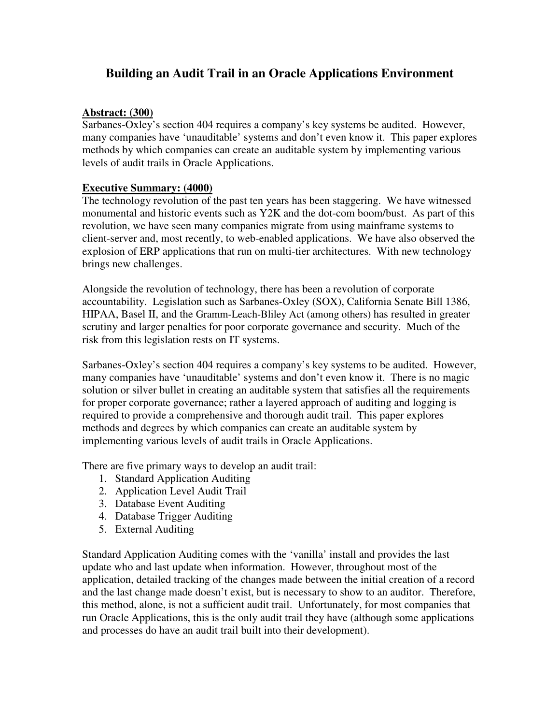# **Building an Audit Trail in an Oracle Applications Environment**

### **Abstract: (300)**

Sarbanes-Oxley's section 404 requires a company's key systems be audited. However, many companies have 'unauditable' systems and don't even know it. This paper explores methods by which companies can create an auditable system by implementing various levels of audit trails in Oracle Applications.

### **Executive Summary: (4000)**

The technology revolution of the past ten years has been staggering. We have witnessed monumental and historic events such as Y2K and the dot-com boom/bust. As part of this revolution, we have seen many companies migrate from using mainframe systems to client-server and, most recently, to web-enabled applications. We have also observed the explosion of ERP applications that run on multi-tier architectures. With new technology brings new challenges.

Alongside the revolution of technology, there has been a revolution of corporate accountability. Legislation such as Sarbanes-Oxley (SOX), California Senate Bill 1386, HIPAA, Basel II, and the Gramm-Leach-Bliley Act (among others) has resulted in greater scrutiny and larger penalties for poor corporate governance and security. Much of the risk from this legislation rests on IT systems.

Sarbanes-Oxley's section 404 requires a company's key systems to be audited. However, many companies have 'unauditable' systems and don't even know it. There is no magic solution or silver bullet in creating an auditable system that satisfies all the requirements for proper corporate governance; rather a layered approach of auditing and logging is required to provide a comprehensive and thorough audit trail. This paper explores methods and degrees by which companies can create an auditable system by implementing various levels of audit trails in Oracle Applications.

There are five primary ways to develop an audit trail:

- 1. Standard Application Auditing
- 2. Application Level Audit Trail
- 3. Database Event Auditing
- 4. Database Trigger Auditing
- 5. External Auditing

Standard Application Auditing comes with the 'vanilla' install and provides the last update who and last update when information. However, throughout most of the application, detailed tracking of the changes made between the initial creation of a record and the last change made doesn't exist, but is necessary to show to an auditor. Therefore, this method, alone, is not a sufficient audit trail. Unfortunately, for most companies that run Oracle Applications, this is the only audit trail they have (although some applications and processes do have an audit trail built into their development).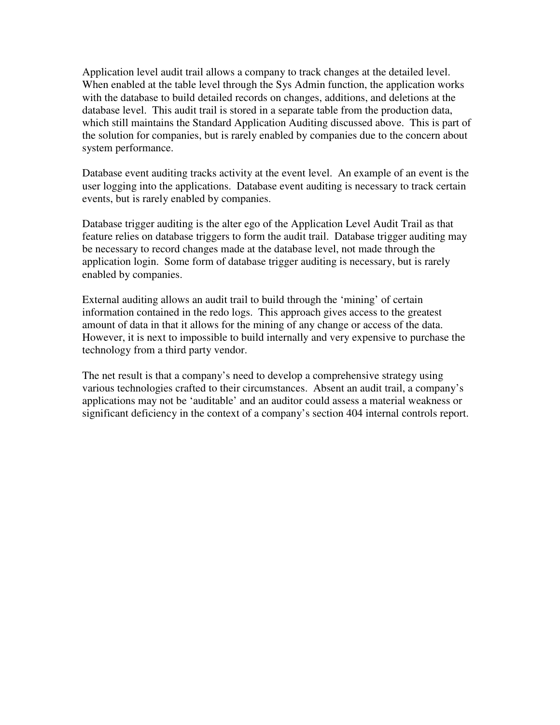Application level audit trail allows a company to track changes at the detailed level. When enabled at the table level through the Sys Admin function, the application works with the database to build detailed records on changes, additions, and deletions at the database level. This audit trail is stored in a separate table from the production data, which still maintains the Standard Application Auditing discussed above. This is part of the solution for companies, but is rarely enabled by companies due to the concern about system performance.

Database event auditing tracks activity at the event level. An example of an event is the user logging into the applications. Database event auditing is necessary to track certain events, but is rarely enabled by companies.

Database trigger auditing is the alter ego of the Application Level Audit Trail as that feature relies on database triggers to form the audit trail. Database trigger auditing may be necessary to record changes made at the database level, not made through the application login. Some form of database trigger auditing is necessary, but is rarely enabled by companies.

External auditing allows an audit trail to build through the 'mining' of certain information contained in the redo logs. This approach gives access to the greatest amount of data in that it allows for the mining of any change or access of the data. However, it is next to impossible to build internally and very expensive to purchase the technology from a third party vendor.

The net result is that a company's need to develop a comprehensive strategy using various technologies crafted to their circumstances. Absent an audit trail, a company's applications may not be 'auditable' and an auditor could assess a material weakness or significant deficiency in the context of a company's section 404 internal controls report.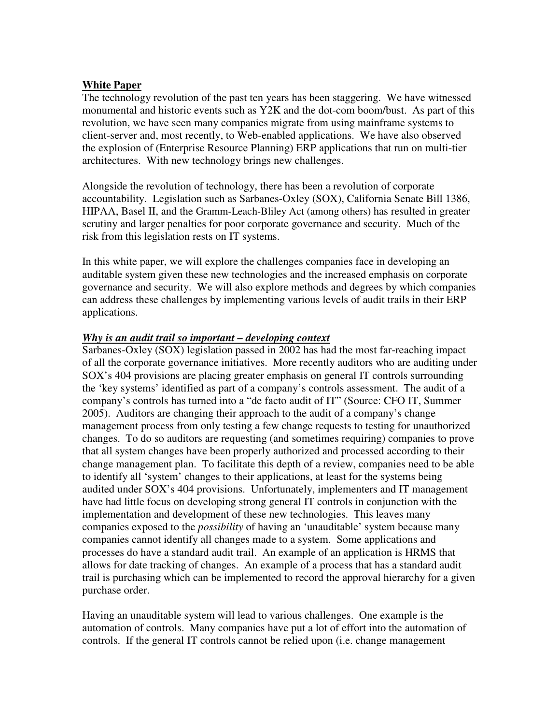#### **White Paper**

The technology revolution of the past ten years has been staggering. We have witnessed monumental and historic events such as Y2K and the dot-com boom/bust. As part of this revolution, we have seen many companies migrate from using mainframe systems to client-server and, most recently, to Web-enabled applications. We have also observed the explosion of (Enterprise Resource Planning) ERP applications that run on multi-tier architectures. With new technology brings new challenges.

Alongside the revolution of technology, there has been a revolution of corporate accountability. Legislation such as Sarbanes-Oxley (SOX), California Senate Bill 1386, HIPAA, Basel II, and the Gramm-Leach-Bliley Act (among others) has resulted in greater scrutiny and larger penalties for poor corporate governance and security. Much of the risk from this legislation rests on IT systems.

In this white paper, we will explore the challenges companies face in developing an auditable system given these new technologies and the increased emphasis on corporate governance and security. We will also explore methods and degrees by which companies can address these challenges by implementing various levels of audit trails in their ERP applications.

#### *Why is an audit trail so important – developing context*

Sarbanes-Oxley (SOX) legislation passed in 2002 has had the most far-reaching impact of all the corporate governance initiatives. More recently auditors who are auditing under SOX's 404 provisions are placing greater emphasis on general IT controls surrounding the 'key systems' identified as part of a company's controls assessment. The audit of a company's controls has turned into a "de facto audit of IT" (Source: CFO IT, Summer 2005). Auditors are changing their approach to the audit of a company's change management process from only testing a few change requests to testing for unauthorized changes. To do so auditors are requesting (and sometimes requiring) companies to prove that all system changes have been properly authorized and processed according to their change management plan. To facilitate this depth of a review, companies need to be able to identify all 'system' changes to their applications, at least for the systems being audited under SOX's 404 provisions. Unfortunately, implementers and IT management have had little focus on developing strong general IT controls in conjunction with the implementation and development of these new technologies. This leaves many companies exposed to the *possibility* of having an 'unauditable' system because many companies cannot identify all changes made to a system. Some applications and processes do have a standard audit trail. An example of an application is HRMS that allows for date tracking of changes. An example of a process that has a standard audit trail is purchasing which can be implemented to record the approval hierarchy for a given purchase order.

Having an unauditable system will lead to various challenges. One example is the automation of controls. Many companies have put a lot of effort into the automation of controls. If the general IT controls cannot be relied upon (i.e. change management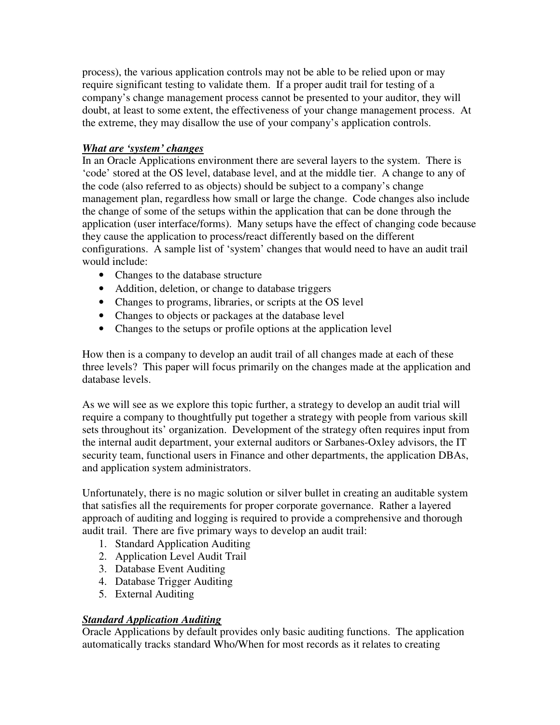process), the various application controls may not be able to be relied upon or may require significant testing to validate them. If a proper audit trail for testing of a company's change management process cannot be presented to your auditor, they will doubt, at least to some extent, the effectiveness of your change management process. At the extreme, they may disallow the use of your company's application controls.

## *What are 'system' changes*

In an Oracle Applications environment there are several layers to the system. There is 'code' stored at the OS level, database level, and at the middle tier. A change to any of the code (also referred to as objects) should be subject to a company's change management plan, regardless how small or large the change. Code changes also include the change of some of the setups within the application that can be done through the application (user interface/forms). Many setups have the effect of changing code because they cause the application to process/react differently based on the different configurations. A sample list of 'system' changes that would need to have an audit trail would include:

- Changes to the database structure
- Addition, deletion, or change to database triggers
- Changes to programs, libraries, or scripts at the OS level
- Changes to objects or packages at the database level
- Changes to the setups or profile options at the application level

How then is a company to develop an audit trail of all changes made at each of these three levels? This paper will focus primarily on the changes made at the application and database levels.

As we will see as we explore this topic further, a strategy to develop an audit trial will require a company to thoughtfully put together a strategy with people from various skill sets throughout its' organization. Development of the strategy often requires input from the internal audit department, your external auditors or Sarbanes-Oxley advisors, the IT security team, functional users in Finance and other departments, the application DBAs, and application system administrators.

Unfortunately, there is no magic solution or silver bullet in creating an auditable system that satisfies all the requirements for proper corporate governance. Rather a layered approach of auditing and logging is required to provide a comprehensive and thorough audit trail. There are five primary ways to develop an audit trail:

- 1. Standard Application Auditing
- 2. Application Level Audit Trail
- 3. Database Event Auditing
- 4. Database Trigger Auditing
- 5. External Auditing

## *Standard Application Auditing*

Oracle Applications by default provides only basic auditing functions. The application automatically tracks standard Who/When for most records as it relates to creating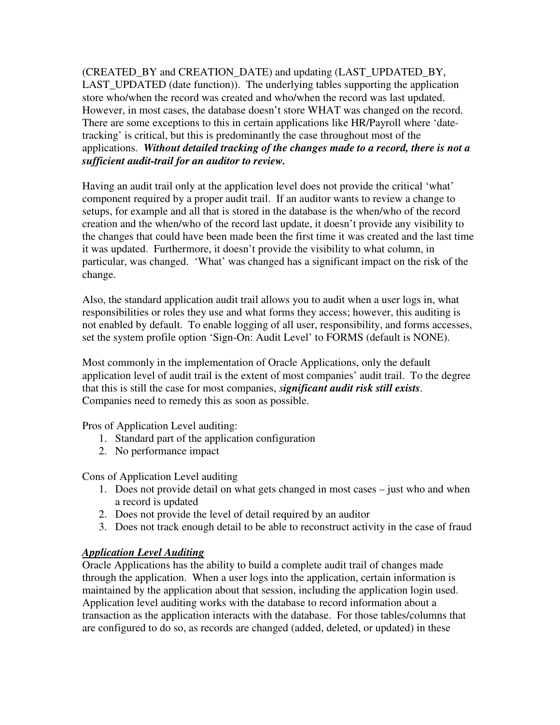(CREATED\_BY and CREATION\_DATE) and updating (LAST\_UPDATED\_BY, LAST\_UPDATED (date function)). The underlying tables supporting the application store who/when the record was created and who/when the record was last updated. However, in most cases, the database doesn't store WHAT was changed on the record. There are some exceptions to this in certain applications like HR/Payroll where 'datetracking' is critical, but this is predominantly the case throughout most of the applications. *Without detailed tracking of the changes made to a record, there is not a sufficient audit-trail for an auditor to review.*

Having an audit trail only at the application level does not provide the critical 'what' component required by a proper audit trail. If an auditor wants to review a change to setups, for example and all that is stored in the database is the when/who of the record creation and the when/who of the record last update, it doesn't provide any visibility to the changes that could have been made been the first time it was created and the last time it was updated. Furthermore, it doesn't provide the visibility to what column, in particular, was changed. 'What' was changed has a significant impact on the risk of the change.

Also, the standard application audit trail allows you to audit when a user logs in, what responsibilities or roles they use and what forms they access; however, this auditing is not enabled by default. To enable logging of all user, responsibility, and forms accesses, set the system profile option 'Sign-On: Audit Level' to FORMS (default is NONE).

Most commonly in the implementation of Oracle Applications, only the default application level of audit trail is the extent of most companies' audit trail. To the degree that this is still the case for most companies, *significant audit risk still exists*. Companies need to remedy this as soon as possible.

Pros of Application Level auditing:

- 1. Standard part of the application configuration
- 2. No performance impact

Cons of Application Level auditing

- 1. Does not provide detail on what gets changed in most cases just who and when a record is updated
- 2. Does not provide the level of detail required by an auditor
- 3. Does not track enough detail to be able to reconstruct activity in the case of fraud

# *Application Level Auditing*

Oracle Applications has the ability to build a complete audit trail of changes made through the application. When a user logs into the application, certain information is maintained by the application about that session, including the application login used. Application level auditing works with the database to record information about a transaction as the application interacts with the database. For those tables/columns that are configured to do so, as records are changed (added, deleted, or updated) in these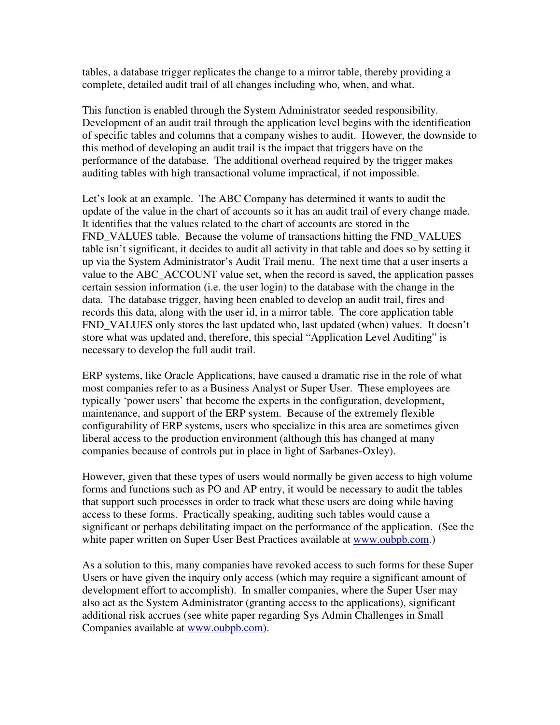tables, a database trigger replicates the change to a mirror table, thereby providing a complete, detailed audit trail of all changes including who, when, and what.

This function is enabled through the System Administrator seeded responsibility. Development of an audit trail through the application level begins with the identification of specific tables and columns that a company wishes to audit. However, the downside to this method of developing an audit trail is the impact that triggers have on the performance of the database. The additional overhead required by the trigger makes auditing tables with high transactional volume impractical, if not impossible.

Let's look at an example. The ABC Company has determined it wants to audit the update of the value in the chart of accounts so it has an audit trail of every change made. It identifies that the values related to the chart of accounts are stored in the FND\_VALUES table. Because the volume of transactions hitting the FND\_VALUES table isn't significant, it decides to audit all activity in that table and does so by setting it up via the System Administrator's Audit Trail menu. The next time that a user inserts a value to the ABC\_ACCOUNT value set, when the record is saved, the application passes certain session information (i.e. the user login) to the database with the change in the data. The database trigger, having been enabled to develop an audit trail, fires and records this data, along with the user id, in a mirror table. The core application table FND\_VALUES only stores the last updated who, last updated (when) values. It doesn't store what was updated and, therefore, this special "Application Level Auditing" is necessary to develop the full audit trail.

ERP systems, like Oracle Applications, have caused a dramatic rise in the role of what most companies refer to as a Business Analyst or Super User. These employees are typically 'power users' that become the experts in the configuration, development, maintenance, and support of the ERP system. Because of the extremely flexible configurability of ERP systems, users who specialize in this area are sometimes given liberal access to the production environment (although this has changed at many companies because of controls put in place in light of Sarbanes-Oxley).

However, given that these types of users would normally be given access to high volume forms and functions such as PO and AP entry, it would be necessary to audit the tables that support such processes in order to track what these users are doing while having access to these forms. Practically speaking, auditing such tables would cause a significant or perhaps debilitating impact on the performance of the application. (See the white paper written on Super User Best Practices available at www.oubpb.com.)

As a solution to this, many companies have revoked access to such forms for these Super Users or have given the inquiry only access (which may require a significant amount of development effort to accomplish). In smaller companies, where the Super User may also act as the System Administrator (granting access to the applications), significant additional risk accrues (see white paper regarding Sys Admin Challenges in Small Companies available at www.oubpb.com).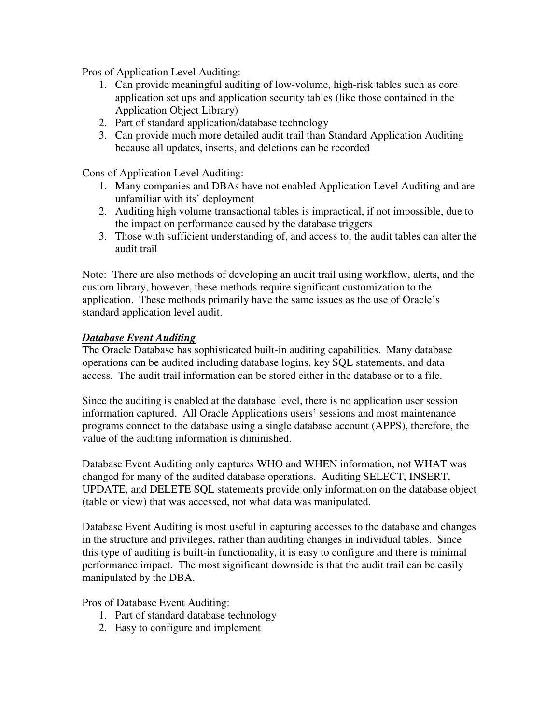Pros of Application Level Auditing:

- 1. Can provide meaningful auditing of low-volume, high-risk tables such as core application set ups and application security tables (like those contained in the Application Object Library)
- 2. Part of standard application/database technology
- 3. Can provide much more detailed audit trail than Standard Application Auditing because all updates, inserts, and deletions can be recorded

Cons of Application Level Auditing:

- 1. Many companies and DBAs have not enabled Application Level Auditing and are unfamiliar with its' deployment
- 2. Auditing high volume transactional tables is impractical, if not impossible, due to the impact on performance caused by the database triggers
- 3. Those with sufficient understanding of, and access to, the audit tables can alter the audit trail

Note: There are also methods of developing an audit trail using workflow, alerts, and the custom library, however, these methods require significant customization to the application. These methods primarily have the same issues as the use of Oracle's standard application level audit.

### *Database Event Auditing*

The Oracle Database has sophisticated built-in auditing capabilities. Many database operations can be audited including database logins, key SQL statements, and data access. The audit trail information can be stored either in the database or to a file.

Since the auditing is enabled at the database level, there is no application user session information captured. All Oracle Applications users' sessions and most maintenance programs connect to the database using a single database account (APPS), therefore, the value of the auditing information is diminished.

Database Event Auditing only captures WHO and WHEN information, not WHAT was changed for many of the audited database operations. Auditing SELECT, INSERT, UPDATE, and DELETE SQL statements provide only information on the database object (table or view) that was accessed, not what data was manipulated.

Database Event Auditing is most useful in capturing accesses to the database and changes in the structure and privileges, rather than auditing changes in individual tables. Since this type of auditing is built-in functionality, it is easy to configure and there is minimal performance impact. The most significant downside is that the audit trail can be easily manipulated by the DBA.

Pros of Database Event Auditing:

- 1. Part of standard database technology
- 2. Easy to configure and implement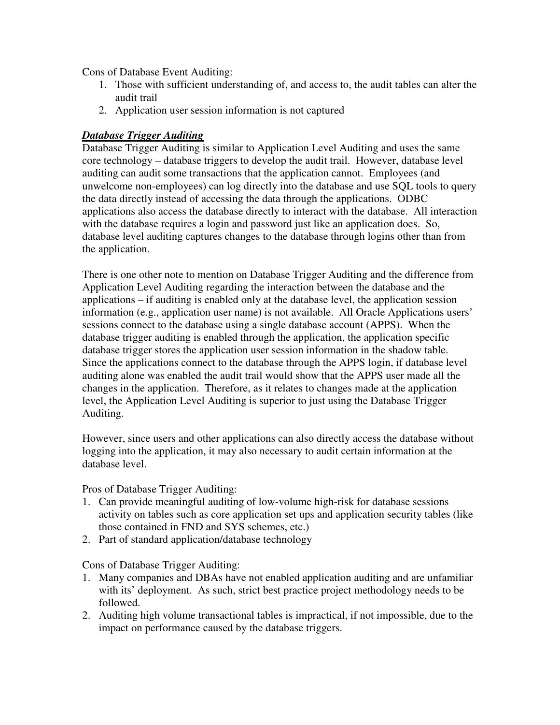Cons of Database Event Auditing:

- 1. Those with sufficient understanding of, and access to, the audit tables can alter the audit trail
- 2. Application user session information is not captured

### *Database Trigger Auditing*

Database Trigger Auditing is similar to Application Level Auditing and uses the same core technology – database triggers to develop the audit trail. However, database level auditing can audit some transactions that the application cannot. Employees (and unwelcome non-employees) can log directly into the database and use SQL tools to query the data directly instead of accessing the data through the applications. ODBC applications also access the database directly to interact with the database. All interaction with the database requires a login and password just like an application does. So, database level auditing captures changes to the database through logins other than from the application.

There is one other note to mention on Database Trigger Auditing and the difference from Application Level Auditing regarding the interaction between the database and the applications – if auditing is enabled only at the database level, the application session information (e.g., application user name) is not available. All Oracle Applications users' sessions connect to the database using a single database account (APPS). When the database trigger auditing is enabled through the application, the application specific database trigger stores the application user session information in the shadow table. Since the applications connect to the database through the APPS login, if database level auditing alone was enabled the audit trail would show that the APPS user made all the changes in the application. Therefore, as it relates to changes made at the application level, the Application Level Auditing is superior to just using the Database Trigger Auditing.

However, since users and other applications can also directly access the database without logging into the application, it may also necessary to audit certain information at the database level.

#### Pros of Database Trigger Auditing:

- 1. Can provide meaningful auditing of low-volume high-risk for database sessions activity on tables such as core application set ups and application security tables (like those contained in FND and SYS schemes, etc.)
- 2. Part of standard application/database technology

#### Cons of Database Trigger Auditing:

- 1. Many companies and DBAs have not enabled application auditing and are unfamiliar with its' deployment. As such, strict best practice project methodology needs to be followed.
- 2. Auditing high volume transactional tables is impractical, if not impossible, due to the impact on performance caused by the database triggers.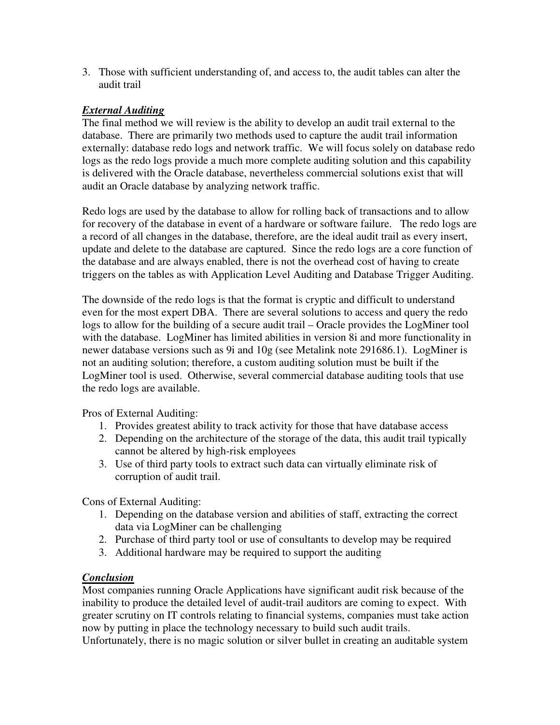3. Those with sufficient understanding of, and access to, the audit tables can alter the audit trail

### *External Auditing*

The final method we will review is the ability to develop an audit trail external to the database. There are primarily two methods used to capture the audit trail information externally: database redo logs and network traffic. We will focus solely on database redo logs as the redo logs provide a much more complete auditing solution and this capability is delivered with the Oracle database, nevertheless commercial solutions exist that will audit an Oracle database by analyzing network traffic.

Redo logs are used by the database to allow for rolling back of transactions and to allow for recovery of the database in event of a hardware or software failure. The redo logs are a record of all changes in the database, therefore, are the ideal audit trail as every insert, update and delete to the database are captured. Since the redo logs are a core function of the database and are always enabled, there is not the overhead cost of having to create triggers on the tables as with Application Level Auditing and Database Trigger Auditing.

The downside of the redo logs is that the format is cryptic and difficult to understand even for the most expert DBA. There are several solutions to access and query the redo logs to allow for the building of a secure audit trail – Oracle provides the LogMiner tool with the database. LogMiner has limited abilities in version 8i and more functionality in newer database versions such as 9i and 10g (see Metalink note 291686.1). LogMiner is not an auditing solution; therefore, a custom auditing solution must be built if the LogMiner tool is used. Otherwise, several commercial database auditing tools that use the redo logs are available.

Pros of External Auditing:

- 1. Provides greatest ability to track activity for those that have database access
- 2. Depending on the architecture of the storage of the data, this audit trail typically cannot be altered by high-risk employees
- 3. Use of third party tools to extract such data can virtually eliminate risk of corruption of audit trail.

Cons of External Auditing:

- 1. Depending on the database version and abilities of staff, extracting the correct data via LogMiner can be challenging
- 2. Purchase of third party tool or use of consultants to develop may be required
- 3. Additional hardware may be required to support the auditing

#### *Conclusion*

Most companies running Oracle Applications have significant audit risk because of the inability to produce the detailed level of audit-trail auditors are coming to expect. With greater scrutiny on IT controls relating to financial systems, companies must take action now by putting in place the technology necessary to build such audit trails.

Unfortunately, there is no magic solution or silver bullet in creating an auditable system